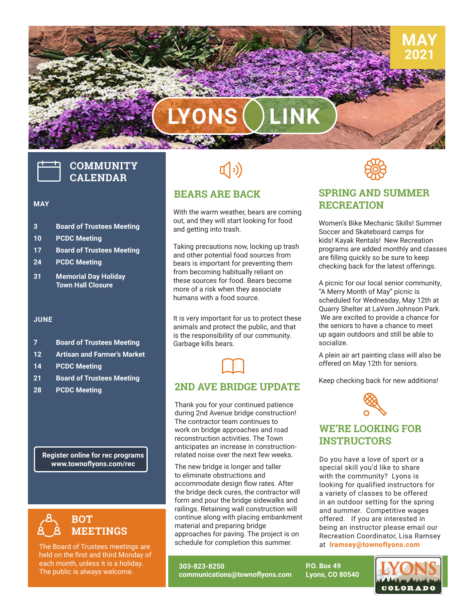# **LYONS LINK**

## **COMMUNITY CALENDAR**

ومنافر فتوريدها

#### **MAY**

- **3 Board of Trustees Meeting**
- **10 PCDC Meeting**
- **17 Board of Trustees Meeting**
- **24 PCDC Meeting**
- **31 Memorial Day Holiday Town Hall Closure**

#### **JUNE**

- **7 Board of Trustees Meeting**
- **12 Artisan and Farmer's Market**
- **14 PCDC Meeting**
- **21 Board of Trustees Meeting**
- **28 PCDC Meeting**

**Register online for rec programs www.townoflyons.com/rec**



The Board of Trustees meetings are held on the first and third Monday of each month, unless it is a holiday. The public is always welcome.

## $\left(\hspace{-2pt}\left(\cdot\right)\right)$

### **BEARS ARE BACK**

With the warm weather, bears are coming out, and they will start looking for food and getting into trash.

Taking precautions now, locking up trash and other potential food sources from bears is important for preventing them from becoming habitually reliant on these sources for food. Bears become more of a risk when they associate humans with a food source.

It is very important for us to protect these animals and protect the public, and that is the responsibility of our community. Garbage kills bears.

### **2ND AVE BRIDGE UPDATE**  $\Box$

Thank you for your continued patience during 2nd Avenue bridge construction! The contractor team continues to work on bridge approaches and road reconstruction activities. The Town anticipates an increase in constructionrelated noise over the next few weeks.

accommodate design now rates. After<br>the bridge deck cures, the contractor will<br>form and pour the bridge sidewalks and The new bridge is longer and taller to eliminate obstructions and accommodate design flow rates. After the bridge deck cures, the contractor will railings. Retaining wall construction will continue along with placing embankment material and preparing bridge approaches for paving. The project is on schedule for completion this summer.

**303-823-8250 communications@townoflyons.com**



**MAY 2021**

### **SPRING AND SUMMER RECREATION**

Women's Bike Mechanic Skills! Summer Soccer and Skateboard camps for kids! Kayak Rentals! New Recreation programs are added monthly and classes are filling quickly so be sure to keep checking back for the latest offerings.

A picnic for our local senior community, "A Merry Month of May" picnic is scheduled for Wednesday, May 12th at Quarry Shelter at LaVern Johnson Park. We are excited to provide a chance for the seniors to have a chance to meet up again outdoors and still be able to socialize.

A plein air art painting class will also be offered on May 12th for seniors.

Keep checking back for new additions!



### **WE'RE LOOKING FOR INSTRUCTORS**

Do you have a love of sport or a special skill you'd like to share with the community? Lyons is looking for qualified instructors for a variety of classes to be offered in an outdoor setting for the spring and summer. Competitive wages offered. If you are interested in being an instructor please email our Recreation Coordinator, Lisa Ramsey at **[lramsey@townoflyons.com](mailto:lramsey%40townoflyons.com?subject=new%20instructors)**

**P.O. Box 49 Lyons, CO 80540** **COLORADO**